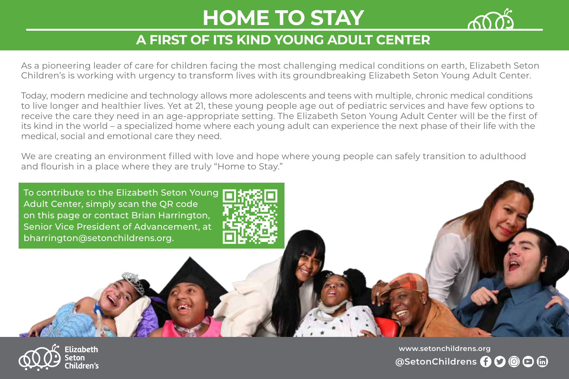# **HOME TO STAY**



### **A FIRST OF ITS KIND YOUNG ADULT CENTER**

As a pioneering leader of care for children facing the most challenging medical conditions on earth, Elizabeth Seton Children's is working with urgency to transform lives with its groundbreaking Elizabeth Seton Young Adult Center.

Today, modern medicine and technology allows more adolescents and teens with multiple, chronic medical conditions to live longer and healthier lives. Yet at 21, these young people age out of pediatric services and have few options to receive the care they need in an age-appropriate setting. The Elizabeth Seton Young Adult Center will be the first of its kind in the world – a specialized home where each young adult can experience the next phase of their life with the medical, social and emotional care they need.

We are creating an environment filled with love and hope where young people can safely transition to adulthood and flourish in a place where they are truly "Home to Stay."





**@SetonChildrens O** 〇 回 回 個 **[www.setonchildrens.org](https://setonchildrens.org/)**